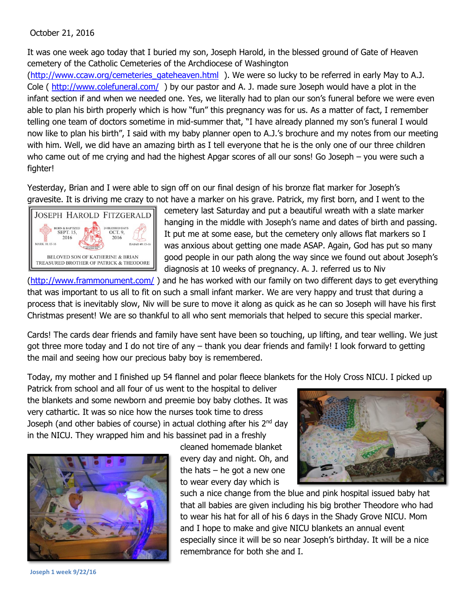## October 21, 2016

It was one week ago today that I buried my son, Joseph Harold, in the blessed ground of Gate of Heaven cemetery of the Catholic Cemeteries of the Archdiocese of Washington

[\(http://www.ccaw.org/cemeteries\\_gateheaven.html](http://www.ccaw.org/cemeteries_gateheaven.html) ). We were so lucky to be referred in early May to A.J. Cole ( <http://www.colefuneral.com/>) by our pastor and A. J. made sure Joseph would have a plot in the infant section if and when we needed one. Yes, we literally had to plan our son's funeral before we were even able to plan his birth properly which is how "fun" this pregnancy was for us. As a matter of fact, I remember telling one team of doctors sometime in mid-summer that, "I have already planned my son's funeral I would now like to plan his birth", I said with my baby planner open to A.J.'s brochure and my notes from our meeting with him. Well, we did have an amazing birth as I tell everyone that he is the only one of our three children who came out of me crying and had the highest Apgar scores of all our sons! Go Joseph – you were such a fighter!

Yesterday, Brian and I were able to sign off on our final design of his bronze flat marker for Joseph's gravesite. It is driving me crazy to not have a marker on his grave. Patrick, my first born, and I went to the



cemetery last Saturday and put a beautiful wreath with a slate marker hanging in the middle with Joseph's name and dates of birth and passing. It put me at some ease, but the cemetery only allows flat markers so I was anxious about getting one made ASAP. Again, God has put so many good people in our path along the way since we found out about Joseph's diagnosis at 10 weeks of pregnancy. A. J. referred us to Niv

[\(http://www.frammonument.com/](http://www.frammonument.com/) ) and he has worked with our family on two different days to get everything that was important to us all to fit on such a small infant marker. We are very happy and trust that during a process that is inevitably slow, Niv will be sure to move it along as quick as he can so Joseph will have his first Christmas present! We are so thankful to all who sent memorials that helped to secure this special marker.

Cards! The cards dear friends and family have sent have been so touching, up lifting, and tear welling. We just got three more today and I do not tire of any – thank you dear friends and family! I look forward to getting the mail and seeing how our precious baby boy is remembered.

Today, my mother and I finished up 54 flannel and polar fleece blankets for the Holy Cross NICU. I picked up

Patrick from school and all four of us went to the hospital to deliver the blankets and some newborn and preemie boy baby clothes. It was very cathartic. It was so nice how the nurses took time to dress Joseph (and other babies of course) in actual clothing after his 2<sup>nd</sup> day in the NICU. They wrapped him and his bassinet pad in a freshly



cleaned homemade blanket every day and night. Oh, and the hats  $-$  he got a new one to wear every day which is



such a nice change from the blue and pink hospital issued baby hat that all babies are given including his big brother Theodore who had to wear his hat for all of his 6 days in the Shady Grove NICU. Mom and I hope to make and give NICU blankets an annual event especially since it will be so near Joseph's birthday. It will be a nice remembrance for both she and I.

**Joseph 1 week 9/22/16**